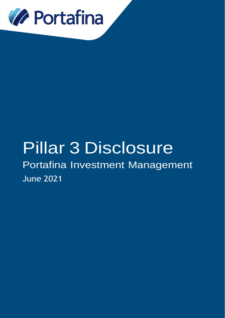

## Pillar 3 Disclosure

Portafina Investment Management June 2021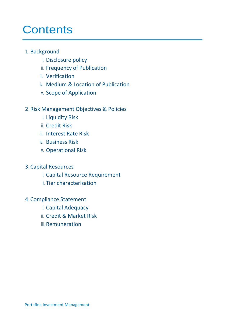### **Contents**

#### 1.Background

- i. Disclosure policy
- ii. Frequency of Publication
- iii. Verification
- iv. Medium & Location of Publication
- v. Scope of Application

#### 2.Risk Management Objectives & Policies

- i. Liquidity Risk
- ii. Credit Risk
- iii. Interest Rate Risk
- iv. Business Risk
- v. Operational Risk

#### 3.Capital Resources

- i. Capital Resource Requirement
- ii. Tier characterisation

#### 4.Compliance Statement

- i. Capital Adequacy
- ii. Credit & Market Risk
- iii. Remuneration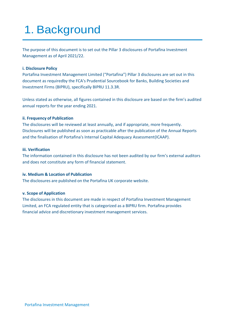## 1. Background

The purpose of this document is to set out the Pillar 3 disclosures of Portafina Investment Management as of April 2021/22.

#### **i. Disclosure Policy**

Portafina Investment Management Limited ("Portafina") Pillar 3 disclosures are set out in this document as requiredby the FCA's Prudential Sourcebook for Banks, Building Societies and Investment Firms (BIPRU), specifically BIPRU 11.3.3R.

Unless stated as otherwise, all figures contained in this disclosure are based on the firm's audited annual reports for the year ending 2021.

#### **ii. Frequency of Publication**

The disclosures will be reviewed at least annually, and if appropriate, more frequently. Disclosures will be published as soon as practicable after the publication of the Annual Reports and the finalisation of Portafina's Internal Capital Adequacy Assessment(ICAAP).

#### **iii. Verification**

The information contained in this disclosure has not been audited by our firm's external auditors and does not constitute any form of financial statement.

#### **iv. Medium & Location of Publication**

The disclosures are published on the Portafina UK corporate website.

#### **v. Scope of Application**

The disclosures in this document are made in respect of Portafina Investment Management Limited, an FCA regulated entity that is categorized as a BIPRU firm. Portafina provides financial advice and discretionary investment management services.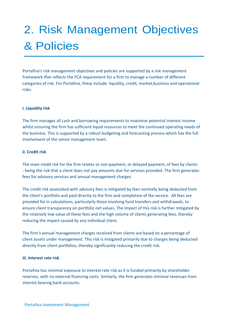## 2. Risk Management Objectives & Policies

Portafina's risk management objectives and policies are supported by a risk management framework that reflects the FCA requirement for a firm to manage a number of different categories of risk. For Portafina, these include: liquidity, credit, market,business and operational risks.

#### **i. Liquidity risk**

The firm manages all cash and borrowing requirements to maximise potential interest income whilst ensuring the firm has sufficient liquid resources to meet the continued operating needs of the business. This is supported by a robust budgeting and forecasting process which has the full involvement of the senior management team.

#### **ii. Credit risk**

The main credit risk for the firm relates to non-payment, or delayed payment, of fees by clients - being the risk that a client does not pay amounts due for services provided. The firm generates fees for advisory services and annual management charges.

The credit risk associated with advisory fees is mitigated by fees normally being deducted from the client's portfolio and paid directly to the firm and completion of the service. All fees are provided for in calculations, particularly those involving fund transfers and withdrawals, to ensure client transparency on portfolio net values. The impact of this risk is further mitigated by the relatively low value of these fees and the high volume of clients generating fees, thereby reducing the impact caused by any individual client.

The firm's annual management charges received from clients are based on a percentage of client assets under management. This risk is mitigated primarily due to charges being deducted directly from client portfolios, thereby significantly reducing the credit risk.

#### **iii. Interest rate risk**

Portafina has minimal exposure to interest rate risk as it is funded primarily by shareholder reserves, with no external financing costs. Similarly, the firm generates minimal revenues from interest bearing bank accounts.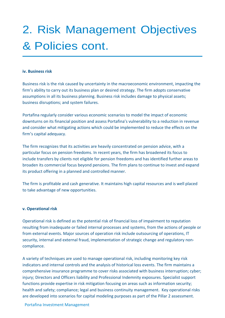## 2. Risk Management Objectives & Policies cont.

#### **iv. Business risk**

Business risk is the risk caused by uncertainty in the macroeconomic environment, impacting the firm's ability to carry out its business plan or desired strategy. The firm adopts conservative assumptions in all its business planning. Business risk includes damage to physical assets; business disruptions; and system failures.

Portafina regularly consider various economic scenarios to model the impact of economic downturns on its financial position and assess Portafina's vulnerability to a reduction in revenue and consider what mitigating actions which could be implemented to reduce the effects on the firm's capital adequacy.

The firm recognizes that its activities are heavily concentrated on pension advice, with a particular focus on pension freedoms. In recent years, the firm has broadened its focus to include transfers by clients not eligible for pension freedoms and has identified further areas to broaden its commercial focus beyond pensions. The firm plans to continue to invest and expand its product offering in a planned and controlled manner.

The firm is profitable and cash generative. It maintains high capital resources and is well placed to take advantage of new opportunities.

#### **v. Operational risk**

Operational risk is defined as the potential risk of financial loss of impairment to reputation resulting from inadequate or failed internal processes and systems, from the actions of people or from external events. Major sources of operation risk include outsourcing of operations, IT security, internal and external fraud, implementation of strategic change and regulatory noncompliance.

A variety of techniques are used to manage operational risk, including monitoring key risk indicators and internal controls and the analysis of historical loss events. The firm maintains a comprehensive insurance programme to cover risks associated with business interruption; cyber; injury; Directors and Officers liability and Professional Indemnity exposures. Specialist support functions provide expertise in risk mitigation focusing on areas such as information security; health and safety; compliance; legal and business continuity management. Key operational risks are developed into scenarios for capital modeling purposes as part of the Pillar 2 assessment.

#### Portafina Investment Management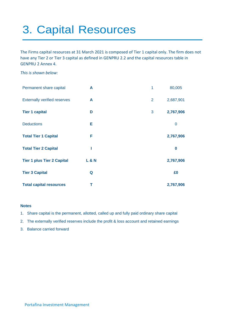## 3. Capital Resources

The Firms capital resources at 31 March 2021 is composed of Tier 1 capital only. The firm does not have any Tier 2 or Tier 3 capital as defined in GENPRU 2.2 and the capital resources table in GENPRU 2 Annex 4.

*This is shown below:* 

| Permanent share capital             | A              | $\mathbf{1}$ | 80,005      |
|-------------------------------------|----------------|--------------|-------------|
| <b>Externally verified reserves</b> | A              | 2            | 2,687,901   |
| <b>Tier 1 capital</b>               | D              | 3            | 2,767,906   |
| <b>Deductions</b>                   | Е              |              | $\mathbf 0$ |
| <b>Total Tier 1 Capital</b>         | F              |              | 2,767,906   |
| <b>Total Tier 2 Capital</b>         |                |              | $\bf{0}$    |
| <b>Tier 1 plus Tier 2 Capital</b>   | <b>L&amp;N</b> |              | 2,767,906   |
| <b>Tier 3 Capital</b>               | Q              |              | £0          |
| <b>Total capital resources</b>      | т              |              | 2,767,906   |

#### **Notes**

- 1. Share capital is the permanent, allotted, called up and fully paid ordinary share capital
- 2. The externally verified reserves include the profit & loss account and retained earnings
- 3. Balance carried forward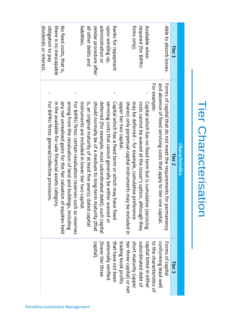| Able to absorb losses.<br>firms only).<br>Available when<br>required (for BIPRU<br>Tier 1 | For example:<br>and absence of fixed servicing costs that apply to tier one capital.<br>Forms of capital that do not meet the requirements for permanency<br>shares) only perpetual capital instruments may be included in<br>may be deferred - for example, cumulative preference<br>Capital which has no fixed term but is cumulative (servicing<br>upper tier two capital.<br>costs cannot be waived at the issuer's option, although they<br>Characteristics<br>Tier 2<br>tier three capital) or net<br>trading book profits<br>subordinated debt of<br>to the characteristics of |
|-------------------------------------------------------------------------------------------|---------------------------------------------------------------------------------------------------------------------------------------------------------------------------------------------------------------------------------------------------------------------------------------------------------------------------------------------------------------------------------------------------------------------------------------------------------------------------------------------------------------------------------------------------------------------------------------|
|                                                                                           |                                                                                                                                                                                                                                                                                                                                                                                                                                                                                                                                                                                       |
| upon winding up,<br>Ranks for repayment                                                   | servicing costs that cannot generally be either waived or<br>Capital which has a fixed term or which may have fixed                                                                                                                                                                                                                                                                                                                                                                                                                                                                   |
| similar procedure atter<br>administration or                                              | should normally be of a medium to long-term maturity (that<br>deferred (for example, most subordinated debt); such capital                                                                                                                                                                                                                                                                                                                                                                                                                                                            |
| all other debts and<br>liabilities.                                                       | instruments are included in lower tier two capital.<br>is, an original maturity of at least five years); dated capital                                                                                                                                                                                                                                                                                                                                                                                                                                                                |
|                                                                                           | For BIPRU firms: certain revaluation reserves such as reserves<br>arising from the revaluation of land and buildings, including                                                                                                                                                                                                                                                                                                                                                                                                                                                       |
| there is no inescapable<br>No fixed costs, that is,                                       | in the available-for-sale financial assets category.<br>any net unrealised gains for the fair valuation of equities held                                                                                                                                                                                                                                                                                                                                                                                                                                                              |
| veq ob notigation                                                                         | For BIPRU firms: general/collective provisions.                                                                                                                                                                                                                                                                                                                                                                                                                                                                                                                                       |
| dividends or interest.                                                                    |                                                                                                                                                                                                                                                                                                                                                                                                                                                                                                                                                                                       |

# **Tier Characterisation Characterisation**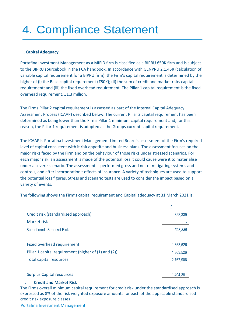## 4. Compliance Statement

#### **i. Capital Adequacy**

Portafina Investment Management as a MIFID firm is classified as a BIPRU €50K firm and is subject to the BIPRU sourcebook in the FCA handbook. In accordance with GENPRU 2.1.45R (calculation of variable capital requirement for a BIPRU firm), the Firm's capital requirement is determined by the higher of (i) the Base capital requirement ( $\epsilon$ 50K); (ii) the sum of credit and market risks capital requirement; and (iii) the fixed overhead requirement. The Pillar 1 capital requirement is the fixed overhead requirement, £1.3 million.

The Firms Pillar 2 capital requirement is assessed as part of the Internal Capital Adequacy Assessment Process (ICAAP) described below. The current Pillar 2 capital requirement has been determined as being lower than the Firms Pillar 1 minimum capital requirement and, for this reason, the Pillar 1 requirement is adopted as the Groups current capital requirement.

The ICAAP is Portafina Investment Management Limited Board's assessment of the Firm's required level of capital consistent with it risk appetite and business plans. The assessment focuses on the major risks faced by the Firm and on the behaviour of those risks under stressed scenarios. For each major risk, an assessment is made of the potential loss it could cause were it to materialise under a severe scenario. The assessment is performed gross and net of mitigating systems and controls, and after incorporation t effects of insurance. A variety of techniques are used to support the potential loss figures. Stress and scenario tests are used to consider the impact based on a variety of events.

The following shows the Firm's capital requirement and Capital adequacy at 31 March 2021 is:

|                                                      | £         |
|------------------------------------------------------|-----------|
| Credit risk (standardised approach)                  | 328,339   |
| Market risk                                          |           |
| Sum of credit & market Risk                          | 328,339   |
|                                                      |           |
| <b>Fixed overhead requirement</b>                    | 1,363,526 |
| Pillar 1 capital requirement (higher of (1) and (2)) | 1,363,526 |
| Total capital resources                              | 2,767,906 |
|                                                      |           |
| <b>Surplus Capital resources</b>                     | 1,404,381 |

#### **ii. Credit and Market Risk**

The Firms overall minimum capital requirement for credit risk under the standardised approach is expressed as 8% of the risk weighted exposure amounts for each of the applicable standardised credit risk exposure classes

Portafina Investment Management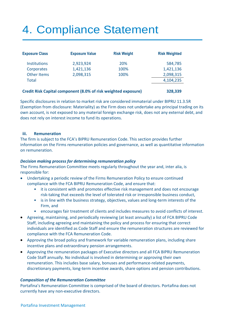## 4. Compliance Statement

| <b>Exposure Class</b> | <b>Exposure Value</b> | <b>Risk Weight</b> | <b>Risk Weighted</b> |
|-----------------------|-----------------------|--------------------|----------------------|
| <b>Institutions</b>   | 2,923,924             | 20%                | 584,785              |
| Corporates            | 1,421,136             | 100%               | 1,421,136            |
| <b>Other Items</b>    | 2,098,315             | 100%               | 2,098,315            |
| <b>Total</b>          |                       |                    | 4,104,235            |
|                       |                       |                    |                      |

#### **Credit Risk Capital component (8.0% of risk weighted exposure) 328,339**

Specific disclosures in relation to market risk are considered immaterial under BIPRU 11.3.5R (Exemption from disclosure: Materiality) as the Firm does not undertake any principal trading on its own account, is not exposed to any material foreign exchange risk, does not any external debt, and does not rely on interest income to fund its operations.

#### **iii. Remuneration**

The firm is subject to the FCA's BIPRU Remuneration Code. This section provides further information on the Firms remuneration policies and governance, as well as quantitative information on remuneration.

#### *Decision making process for determining remuneration policy*

The Firms Remuneration Committee meets regularly throughout the year and, inter alia, is responsible for:

- Undertaking a periodic review of the Firms Remuneration Policy to ensure continued compliance with the FCA BIPRU Remuneration Code, and ensure that:
	- it is consistent with and promotes effective risk management and does not encourage risk-taking that exceeds the level of tolerated risk or irresponsible business conduct,
	- is in line with the business strategy, objectives, values and long-term interests of the Firm, and
	- encourages fair treatment of clients and includes measures to avoid conflicts of interest.
- Agreeing, maintaining, and periodically reviewing (at least annually) a list of FCA BIPRU Code Staff, including agreeing and maintaining the policy and process for ensuring that correct individuals are identified as Code Staff and ensure the remuneration structures are reviewed for compliance with the FCA Remuneration Code.
- Approving the broad policy and framework for variable remuneration plans, including share incentive plans and extraordinary pension arrangements.
- Approving the remuneration packages of Executive directors and all FCA BIPRU Remuneration Code Staff annually. No individual is involved in determining or approving their own remuneration. This includes base salary, bonuses and performance-related payments, discretionary payments, long-term incentive awards, share options and pension contributions.

#### *Composition of the Remuneration Committee*

Portafina's Remuneration Committee is comprised of the board of directors. Portafina does not currently have any non-executive directors.